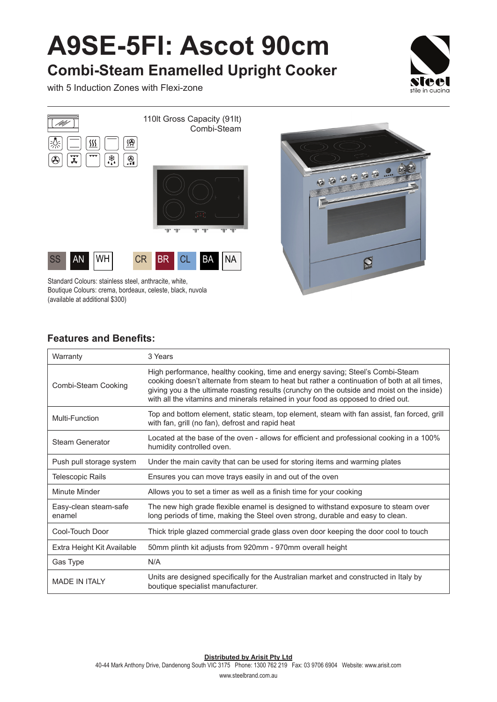## **A9SE-5FI: Ascot 90cm**

**Combi-Steam Enamelled Upright Cooker**

with 5 Induction Zones with Flexi-zone





Standard Colours: stainless steel, anthracite, white, Boutique Colours: crema, bordeaux, celeste, black, nuvola (available at additional \$300)

## **Features and Benefits:**

| Warranty                        | 3 Years                                                                                                                                                                                                                                                                                                                                                            |
|---------------------------------|--------------------------------------------------------------------------------------------------------------------------------------------------------------------------------------------------------------------------------------------------------------------------------------------------------------------------------------------------------------------|
| Combi-Steam Cooking             | High performance, healthy cooking, time and energy saving; Steel's Combi-Steam<br>cooking doesn't alternate from steam to heat but rather a continuation of both at all times,<br>giving you a the ultimate roasting results (crunchy on the outside and moist on the inside)<br>with all the vitamins and minerals retained in your food as opposed to dried out. |
| Multi-Function                  | Top and bottom element, static steam, top element, steam with fan assist, fan forced, grill<br>with fan, grill (no fan), defrost and rapid heat                                                                                                                                                                                                                    |
| <b>Steam Generator</b>          | Located at the base of the oven - allows for efficient and professional cooking in a 100%<br>humidity controlled oven.                                                                                                                                                                                                                                             |
| Push pull storage system        | Under the main cavity that can be used for storing items and warming plates                                                                                                                                                                                                                                                                                        |
| <b>Telescopic Rails</b>         | Ensures you can move trays easily in and out of the oven                                                                                                                                                                                                                                                                                                           |
| Minute Minder                   | Allows you to set a timer as well as a finish time for your cooking                                                                                                                                                                                                                                                                                                |
| Easy-clean steam-safe<br>enamel | The new high grade flexible enamel is designed to withstand exposure to steam over<br>long periods of time, making the Steel oven strong, durable and easy to clean.                                                                                                                                                                                               |
| Cool-Touch Door                 | Thick triple glazed commercial grade glass oven door keeping the door cool to touch                                                                                                                                                                                                                                                                                |
| Extra Height Kit Available      | 50mm plinth kit adjusts from 920mm - 970mm overall height                                                                                                                                                                                                                                                                                                          |
| Gas Type                        | N/A                                                                                                                                                                                                                                                                                                                                                                |
| <b>MADE IN ITALY</b>            | Units are designed specifically for the Australian market and constructed in Italy by<br>boutique specialist manufacturer.                                                                                                                                                                                                                                         |